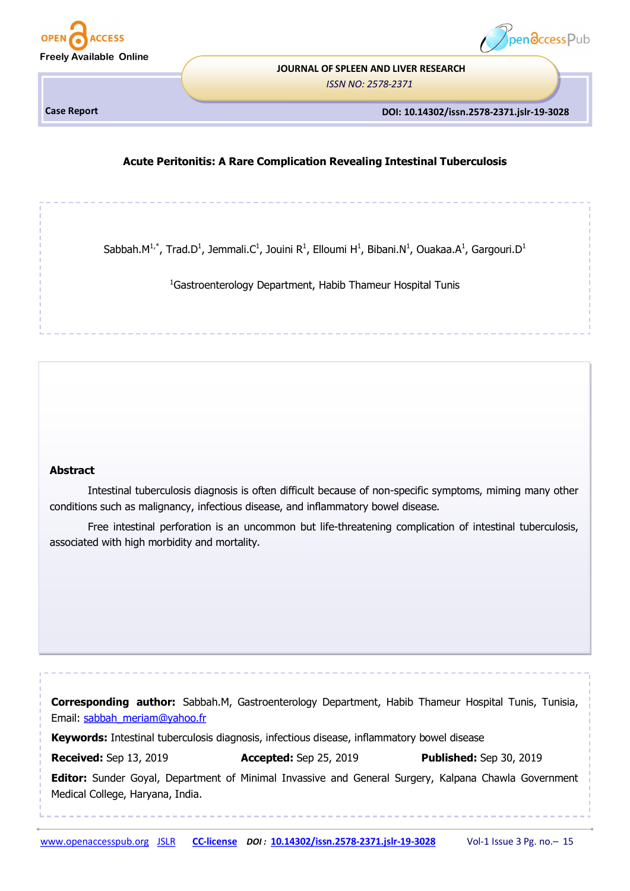



# **JOURNAL OF SPLEEN AND LIVER RESEARCH**

*ISSN NO: 2578-2371* 

**Case Report** 

**DOI: 10.14302/issn.2578-2371.jslr-19-3028**

## **Acute Peritonitis: A Rare Complication Revealing Intestinal Tuberculosis**

Sabbah. $M^{1,*}$ , Trad.D<sup>1</sup>, Jemmali.C<sup>1</sup>, Jouini R<sup>1</sup>, Elloumi H<sup>1</sup>, Bibani.N<sup>1</sup>, Ouakaa.A<sup>1</sup>, Gargouri.D<sup>1</sup>

<sup>1</sup>Gastroenterology Department, Habib Thameur Hospital Tunis

## **Abstract**

Intestinal tuberculosis diagnosis is often difficult because of non-specific symptoms, miming many other conditions such as malignancy, infectious disease, and inflammatory bowel disease.

Free intestinal perforation is an uncommon but life-threatening complication of intestinal tuberculosis, associated with high morbidity and mortality.

**Corresponding author:** Sabbah.M, Gastroenterology Department, Habib Thameur Hospital Tunis, Tunisia, Email: [sabbah\\_meriam@yahoo.fr](mailto:sabbah_meriam@yahoo.fr) **Keywords:** Intestinal tuberculosis diagnosis, infectious disease, inflammatory bowel disease **Received:** Sep 13, 2019 **Accepted:** Sep 25, 2019 **Published:** Sep 30, 2019 **Editor:** Sunder Goyal, Department of Minimal Invassive and General Surgery, Kalpana Chawla Government Medical College, Haryana, India.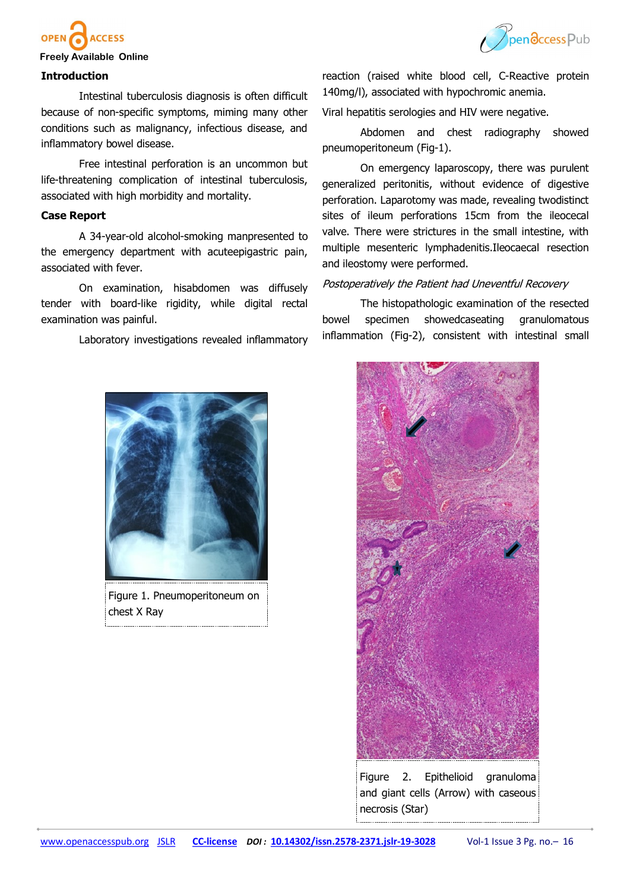



#### **Freely Available Online**

#### **Introduction**

Intestinal tuberculosis diagnosis is often difficult because of non-specific symptoms, miming many other conditions such as malignancy, infectious disease, and inflammatory bowel disease.

Free intestinal perforation is an uncommon but life-threatening complication of intestinal tuberculosis, associated with high morbidity and mortality.

#### **Case Report**

A 34-year-old alcohol-smoking manpresented to the emergency department with acuteepigastric pain, associated with fever.

On examination, hisabdomen was diffusely tender with board-like rigidity, while digital rectal examination was painful.

Laboratory investigations revealed inflammatory



Figure 1. Pneumoperitoneum on chest X Ray

reaction (raised white blood cell, C-Reactive protein 140mg/l), associated with hypochromic anemia.

Viral hepatitis serologies and HIV were negative.

Abdomen and chest radiography showed pneumoperitoneum (Fig-1).

On emergency laparoscopy, there was purulent generalized peritonitis, without evidence of digestive perforation. Laparotomy was made, revealing twodistinct sites of ileum perforations 15cm from the ileocecal valve. There were strictures in the small intestine, with multiple mesenteric lymphadenitis.Ileocaecal resection and ileostomy were performed.

#### Postoperatively the Patient had Uneventful Recovery

The histopathologic examination of the resected bowel specimen showedcaseating granulomatous inflammation (Fig-2), consistent with intestinal small



Figure 2. Epithelioid granuloma and giant cells (Arrow) with caseous necrosis (Star)